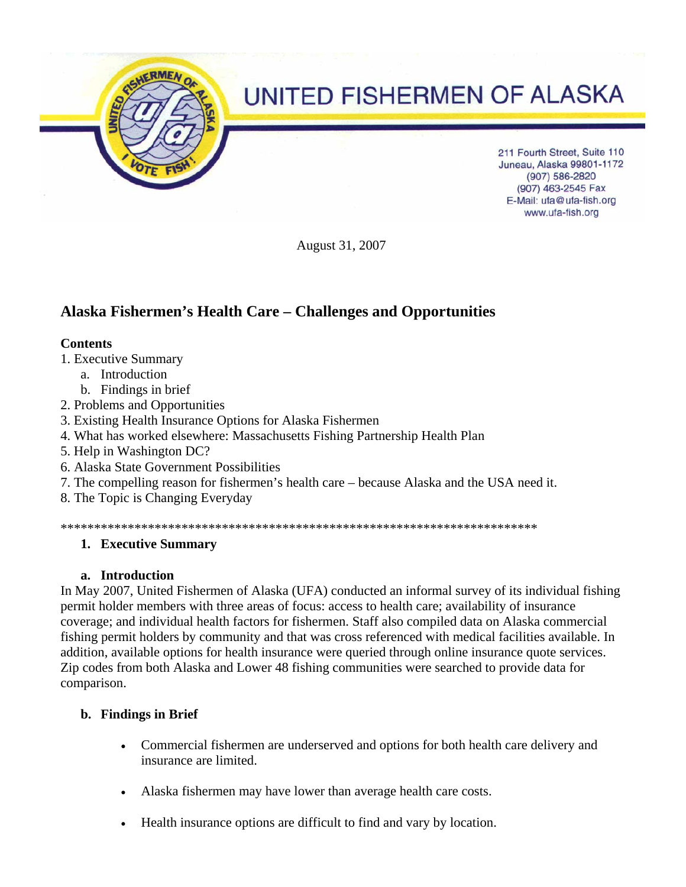

August 31, 2007

# **Alaska Fishermen's Health Care – Challenges and Opportunities**

#### **Contents**

- 1. Executive Summary
	- a. Introduction
	- b. Findings in brief
- 2. Problems and Opportunities
- 3. Existing Health Insurance Options for Alaska Fishermen
- 4. What has worked elsewhere: Massachusetts Fishing Partnership Health Plan
- 5. Help in Washington DC?
- 6. Alaska State Government Possibilities
- 7. The compelling reason for fishermen's health care because Alaska and the USA need it.
- 8. The Topic is Changing Everyday

\*\*\*\*\*\*\*\*\*\*\*\*\*\*\*\*\*\*\*\*\*\*\*\*\*\*\*\*\*\*\*\*\*\*\*\*\*\*\*\*\*\*\*\*\*\*\*\*\*\*\*\*\*\*\*\*\*\*\*\*\*\*\*\*\*\*\*\*\*\*\*

## **1. Executive Summary**

## **a. Introduction**

In May 2007, United Fishermen of Alaska (UFA) conducted an informal survey of its individual fishing permit holder members with three areas of focus: access to health care; availability of insurance coverage; and individual health factors for fishermen. Staff also compiled data on Alaska commercial fishing permit holders by community and that was cross referenced with medical facilities available. In addition, available options for health insurance were queried through online insurance quote services. Zip codes from both Alaska and Lower 48 fishing communities were searched to provide data for comparison.

## **b. Findings in Brief**

- Commercial fishermen are underserved and options for both health care delivery and insurance are limited.
- Alaska fishermen may have lower than average health care costs.
- Health insurance options are difficult to find and vary by location.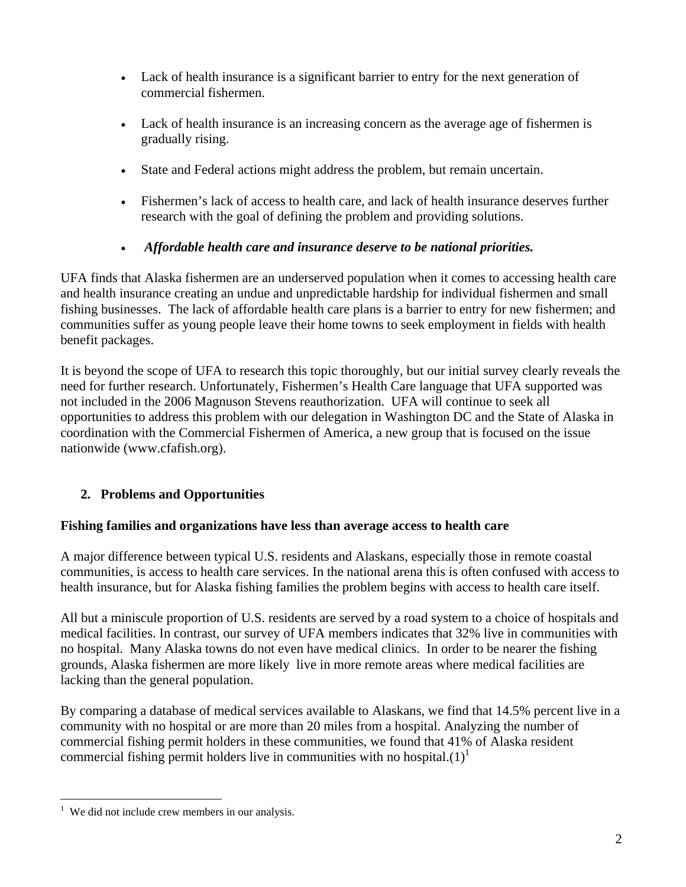- Lack of health insurance is a significant barrier to entry for the next generation of commercial fishermen.
- Lack of health insurance is an increasing concern as the average age of fishermen is gradually rising.
- State and Federal actions might address the problem, but remain uncertain.
- Fishermen's lack of access to health care, and lack of health insurance deserves further research with the goal of defining the problem and providing solutions.

## • *Affordable health care and insurance deserve to be national priorities.*

UFA finds that Alaska fishermen are an underserved population when it comes to accessing health care and health insurance creating an undue and unpredictable hardship for individual fishermen and small fishing businesses. The lack of affordable health care plans is a barrier to entry for new fishermen; and communities suffer as young people leave their home towns to seek employment in fields with health benefit packages.

It is beyond the scope of UFA to research this topic thoroughly, but our initial survey clearly reveals the need for further research. Unfortunately, Fishermen's Health Care language that UFA supported was not included in the 2006 Magnuson Stevens reauthorization. UFA will continue to seek all opportunities to address this problem with our delegation in Washington DC and the State of Alaska in coordination with the Commercial Fishermen of America, a new group that is focused on the issue nationwide (www.cfafish.org).

# **2. Problems and Opportunities**

## **Fishing families and organizations have less than average access to health care**

A major difference between typical U.S. residents and Alaskans, especially those in remote coastal communities, is access to health care services. In the national arena this is often confused with access to health insurance, but for Alaska fishing families the problem begins with access to health care itself.

All but a miniscule proportion of U.S. residents are served by a road system to a choice of hospitals and medical facilities. In contrast, our survey of UFA members indicates that 32% live in communities with no hospital. Many Alaska towns do not even have medical clinics. In order to be nearer the fishing grounds, Alaska fishermen are more likely live in more remote areas where medical facilities are lacking than the general population.

By comparing a database of medical services available to Alaskans, we find that 14.5% percent live in a community with no hospital or are more than 20 miles from a hospital. Analyzing the number of commercial fishing permit holders in these communities, we found that 41% of Alaska resident commercial fishing permit holders live in communities with no hospital. $(1)^{1}$ 

 1 We did not include crew members in our analysis.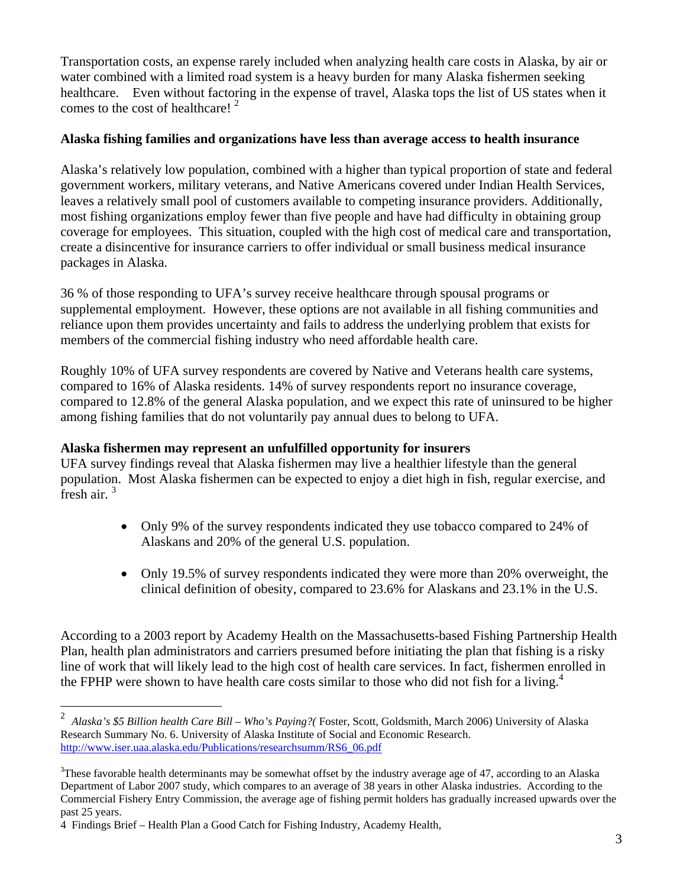Transportation costs, an expense rarely included when analyzing health care costs in Alaska, by air or water combined with a limited road system is a heavy burden for many Alaska fishermen seeking healthcare. Even without factoring in the expense of travel, Alaska tops the list of US states when it comes to the cost of healthcare!  $2^2$ 

### **Alaska fishing families and organizations have less than average access to health insurance**

Alaska's relatively low population, combined with a higher than typical proportion of state and federal government workers, military veterans, and Native Americans covered under Indian Health Services, leaves a relatively small pool of customers available to competing insurance providers. Additionally, most fishing organizations employ fewer than five people and have had difficulty in obtaining group coverage for employees. This situation, coupled with the high cost of medical care and transportation, create a disincentive for insurance carriers to offer individual or small business medical insurance packages in Alaska.

36 % of those responding to UFA's survey receive healthcare through spousal programs or supplemental employment. However, these options are not available in all fishing communities and reliance upon them provides uncertainty and fails to address the underlying problem that exists for members of the commercial fishing industry who need affordable health care.

Roughly 10% of UFA survey respondents are covered by Native and Veterans health care systems, compared to 16% of Alaska residents. 14% of survey respondents report no insurance coverage, compared to 12.8% of the general Alaska population, and we expect this rate of uninsured to be higher among fishing families that do not voluntarily pay annual dues to belong to UFA.

## **Alaska fishermen may represent an unfulfilled opportunity for insurers**

UFA survey findings reveal that Alaska fishermen may live a healthier lifestyle than the general population. Most Alaska fishermen can be expected to enjoy a diet high in fish, regular exercise, and fresh air.  $3<sup>3</sup>$ 

- Only 9% of the survey respondents indicated they use tobacco compared to 24% of Alaskans and 20% of the general U.S. population.
- Only 19.5% of survey respondents indicated they were more than 20% overweight, the clinical definition of obesity, compared to 23.6% for Alaskans and 23.1% in the U.S.

According to a 2003 report by Academy Health on the Massachusetts-based Fishing Partnership Health Plan, health plan administrators and carriers presumed before initiating the plan that fishing is a risky line of work that will likely lead to the high cost of health care services. In fact, fishermen enrolled in the FPHP were shown to have health care costs similar to those who did not fish for a living.<sup>4</sup>

<u>.</u>

<sup>2</sup> *Alaska's \$5 Billion health Care Bill – Who's Paying?(* Foster, Scott, Goldsmith, March 2006) University of Alaska Research Summary No. 6. University of Alaska Institute of Social and Economic Research. http://www.iser.uaa.alaska.edu/Publications/researchsumm/RS6\_06.pdf

 $3$ These favorable health determinants may be somewhat offset by the industry average age of 47, according to an Alaska Department of Labor 2007 study, which compares to an average of 38 years in other Alaska industries. According to the Commercial Fishery Entry Commission, the average age of fishing permit holders has gradually increased upwards over the past 25 years.

<sup>4</sup> Findings Brief – Health Plan a Good Catch for Fishing Industry, Academy Health,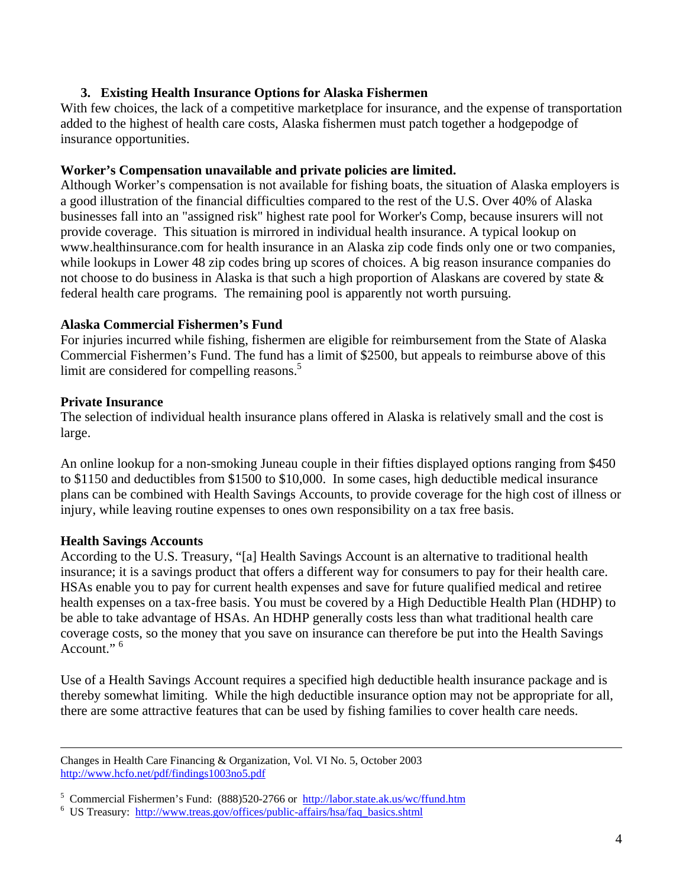## **3. Existing Health Insurance Options for Alaska Fishermen**

With few choices, the lack of a competitive marketplace for insurance, and the expense of transportation added to the highest of health care costs, Alaska fishermen must patch together a hodgepodge of insurance opportunities.

### **Worker's Compensation unavailable and private policies are limited.**

Although Worker's compensation is not available for fishing boats, the situation of Alaska employers is a good illustration of the financial difficulties compared to the rest of the U.S. Over 40% of Alaska businesses fall into an "assigned risk" highest rate pool for Worker's Comp, because insurers will not provide coverage. This situation is mirrored in individual health insurance. A typical lookup on www.healthinsurance.com for health insurance in an Alaska zip code finds only one or two companies, while lookups in Lower 48 zip codes bring up scores of choices. A big reason insurance companies do not choose to do business in Alaska is that such a high proportion of Alaskans are covered by state & federal health care programs. The remaining pool is apparently not worth pursuing.

### **Alaska Commercial Fishermen's Fund**

For injuries incurred while fishing, fishermen are eligible for reimbursement from the State of Alaska Commercial Fishermen's Fund. The fund has a limit of \$2500, but appeals to reimburse above of this limit are considered for compelling reasons.<sup>5</sup>

### **Private Insurance**

The selection of individual health insurance plans offered in Alaska is relatively small and the cost is large.

An online lookup for a non-smoking Juneau couple in their fifties displayed options ranging from \$450 to \$1150 and deductibles from \$1500 to \$10,000. In some cases, high deductible medical insurance plans can be combined with Health Savings Accounts, to provide coverage for the high cost of illness or injury, while leaving routine expenses to ones own responsibility on a tax free basis.

## **Health Savings Accounts**

According to the U.S. Treasury, "[a] Health Savings Account is an alternative to traditional health insurance; it is a savings product that offers a different way for consumers to pay for their health care. HSAs enable you to pay for current health expenses and save for future qualified medical and retiree health expenses on a tax-free basis. You must be covered by a High Deductible Health Plan (HDHP) to be able to take advantage of HSAs. An HDHP generally costs less than what traditional health care coverage costs, so the money that you save on insurance can therefore be put into the Health Savings Account."<sup>6</sup>

Use of a Health Savings Account requires a specified high deductible health insurance package and is thereby somewhat limiting. While the high deductible insurance option may not be appropriate for all, there are some attractive features that can be used by fishing families to cover health care needs.

Changes in Health Care Financing & Organization, Vol. VI No. 5, October 2003 http://www.hcfo.net/pdf/findings1003no5.pdf

<sup>&</sup>lt;sup>5</sup> Commercial Fishermen's Fund:  $(888)520-2766$  or  $\frac{http://labor.state.a.k.us/wc/ffund.html}{http://labor.state.a.k.us/wc/ffund.html}$ 

US Treasury: http://www.treas.gov/offices/public-affairs/hsa/faq\_basics.shtml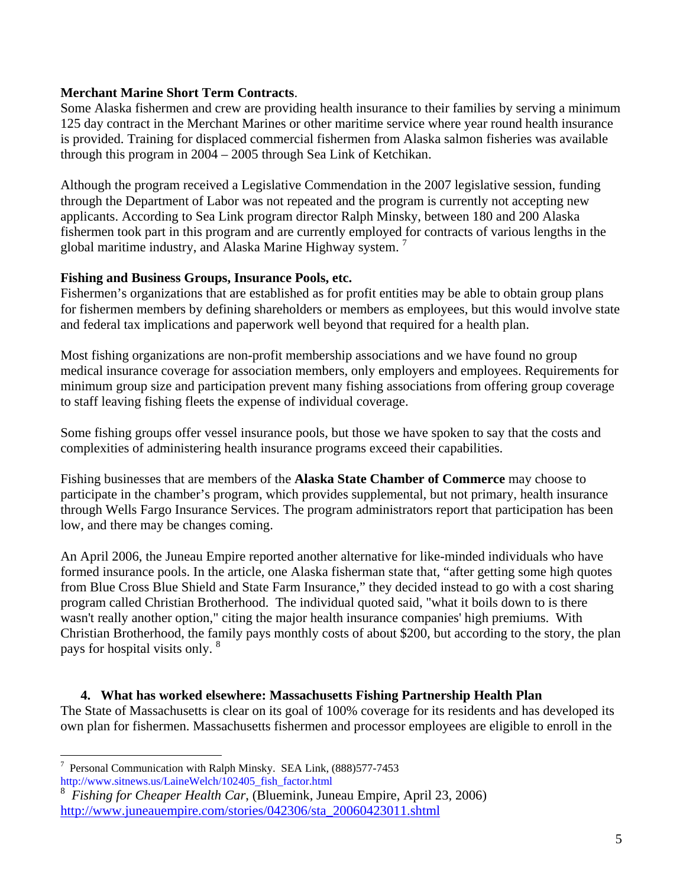## **Merchant Marine Short Term Contracts**.

Some Alaska fishermen and crew are providing health insurance to their families by serving a minimum 125 day contract in the Merchant Marines or other maritime service where year round health insurance is provided. Training for displaced commercial fishermen from Alaska salmon fisheries was available through this program in 2004 – 2005 through Sea Link of Ketchikan.

Although the program received a Legislative Commendation in the 2007 legislative session, funding through the Department of Labor was not repeated and the program is currently not accepting new applicants. According to Sea Link program director Ralph Minsky, between 180 and 200 Alaska fishermen took part in this program and are currently employed for contracts of various lengths in the global maritime industry, and Alaska Marine Highway system.<sup>7</sup>

#### **Fishing and Business Groups, Insurance Pools, etc.**

Fishermen's organizations that are established as for profit entities may be able to obtain group plans for fishermen members by defining shareholders or members as employees, but this would involve state and federal tax implications and paperwork well beyond that required for a health plan.

Most fishing organizations are non-profit membership associations and we have found no group medical insurance coverage for association members, only employers and employees. Requirements for minimum group size and participation prevent many fishing associations from offering group coverage to staff leaving fishing fleets the expense of individual coverage.

Some fishing groups offer vessel insurance pools, but those we have spoken to say that the costs and complexities of administering health insurance programs exceed their capabilities.

Fishing businesses that are members of the **Alaska State Chamber of Commerce** may choose to participate in the chamber's program, which provides supplemental, but not primary, health insurance through Wells Fargo Insurance Services. The program administrators report that participation has been low, and there may be changes coming.

An April 2006, the Juneau Empire reported another alternative for like-minded individuals who have formed insurance pools. In the article, one Alaska fisherman state that, "after getting some high quotes from Blue Cross Blue Shield and State Farm Insurance," they decided instead to go with a cost sharing program called Christian Brotherhood. The individual quoted said, "what it boils down to is there wasn't really another option," citing the major health insurance companies' high premiums. With Christian Brotherhood, the family pays monthly costs of about \$200, but according to the story, the plan pays for hospital visits only. 8

**4. What has worked elsewhere: Massachusetts Fishing Partnership Health Plan**  The State of Massachusetts is clear on its goal of 100% coverage for its residents and has developed its own plan for fishermen. Massachusetts fishermen and processor employees are eligible to enroll in the

<sup>1</sup> 7 Personal Communication with Ralph Minsky. SEA Link, (888)577-7453 http://www.sitnews.us/LaineWelch/102405\_fish\_factor.html

<sup>8</sup> *Fishing for Cheaper Health Car*, (Bluemink, Juneau Empire, April 23, 2006) http://www.juneauempire.com/stories/042306/sta\_20060423011.shtml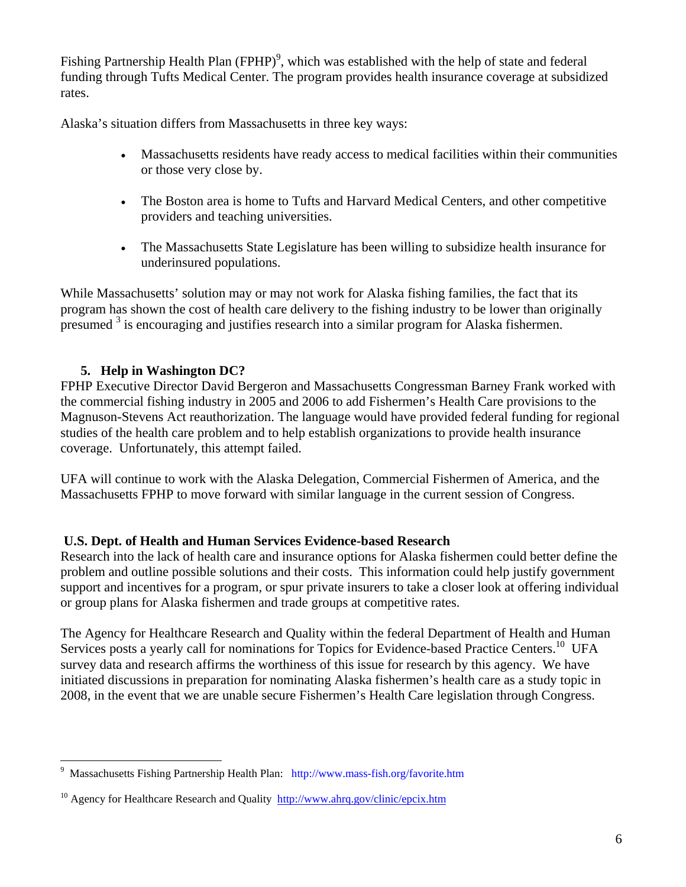Fishing Partnership Health Plan (FPHP)<sup>9</sup>, which was established with the help of state and federal funding through Tufts Medical Center. The program provides health insurance coverage at subsidized rates.

Alaska's situation differs from Massachusetts in three key ways:

- Massachusetts residents have ready access to medical facilities within their communities or those very close by.
- The Boston area is home to Tufts and Harvard Medical Centers, and other competitive providers and teaching universities.
- The Massachusetts State Legislature has been willing to subsidize health insurance for underinsured populations.

While Massachusetts' solution may or may not work for Alaska fishing families, the fact that its program has shown the cost of health care delivery to the fishing industry to be lower than originally presumed <sup>3</sup> is encouraging and justifies research into a similar program for Alaska fishermen.

# **5. Help in Washington DC?**

FPHP Executive Director David Bergeron and Massachusetts Congressman Barney Frank worked with the commercial fishing industry in 2005 and 2006 to add Fishermen's Health Care provisions to the Magnuson-Stevens Act reauthorization. The language would have provided federal funding for regional studies of the health care problem and to help establish organizations to provide health insurance coverage. Unfortunately, this attempt failed.

UFA will continue to work with the Alaska Delegation, Commercial Fishermen of America, and the Massachusetts FPHP to move forward with similar language in the current session of Congress.

## **U.S. Dept. of Health and Human Services Evidence-based Research**

Research into the lack of health care and insurance options for Alaska fishermen could better define the problem and outline possible solutions and their costs. This information could help justify government support and incentives for a program, or spur private insurers to take a closer look at offering individual or group plans for Alaska fishermen and trade groups at competitive rates.

The Agency for Healthcare Research and Quality within the federal Department of Health and Human Services posts a yearly call for nominations for Topics for Evidence-based Practice Centers.<sup>10</sup> UFA survey data and research affirms the worthiness of this issue for research by this agency. We have initiated discussions in preparation for nominating Alaska fishermen's health care as a study topic in 2008, in the event that we are unable secure Fishermen's Health Care legislation through Congress.

<sup>1</sup> 9 Massachusetts Fishing Partnership Health Plan: http://www.mass-fish.org/favorite.htm

<sup>&</sup>lt;sup>10</sup> Agency for Healthcare Research and Quality http://www.ahrq.gov/clinic/epcix.htm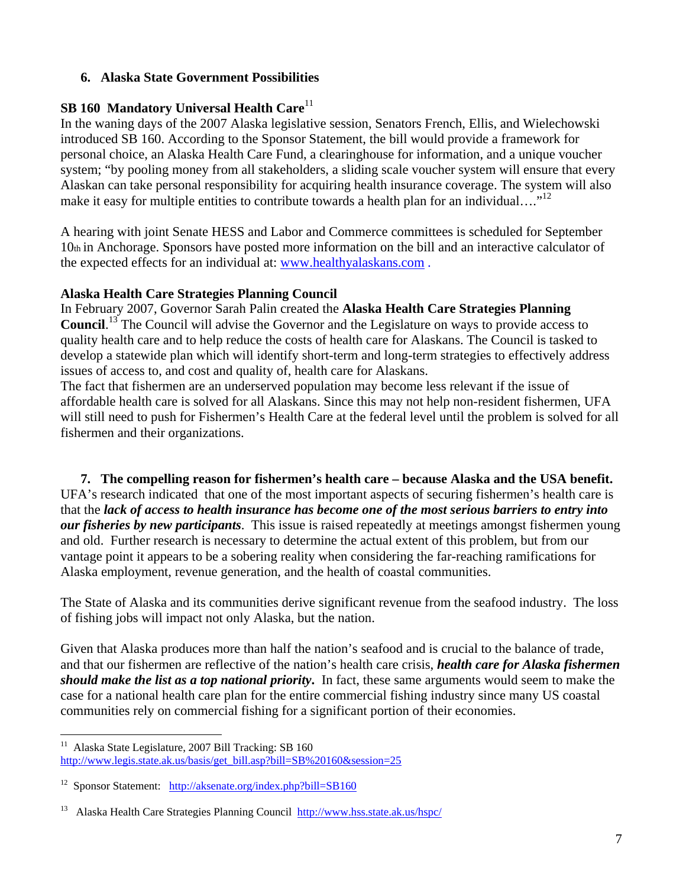## **6. Alaska State Government Possibilities**

## **SB 160 Mandatory Universal Health Care**<sup>11</sup>

In the waning days of the 2007 Alaska legislative session, Senators French, Ellis, and Wielechowski introduced SB 160. According to the Sponsor Statement, the bill would provide a framework for personal choice, an Alaska Health Care Fund, a clearinghouse for information, and a unique voucher system; "by pooling money from all stakeholders, a sliding scale voucher system will ensure that every Alaskan can take personal responsibility for acquiring health insurance coverage. The system will also make it easy for multiple entities to contribute towards a health plan for an individual...."<sup>12</sup>

A hearing with joint Senate HESS and Labor and Commerce committees is scheduled for September 10th in Anchorage. Sponsors have posted more information on the bill and an interactive calculator of the expected effects for an individual at: www.healthyalaskans.com .

## **Alaska Health Care Strategies Planning Council**

In February 2007, Governor Sarah Palin created the **Alaska Health Care Strategies Planning**  Council.<sup>13</sup> The Council will advise the Governor and the Legislature on ways to provide access to quality health care and to help reduce the costs of health care for Alaskans. The Council is tasked to develop a statewide plan which will identify short-term and long-term strategies to effectively address issues of access to, and cost and quality of, health care for Alaskans.

The fact that fishermen are an underserved population may become less relevant if the issue of affordable health care is solved for all Alaskans. Since this may not help non-resident fishermen, UFA will still need to push for Fishermen's Health Care at the federal level until the problem is solved for all fishermen and their organizations.

**7. The compelling reason for fishermen's health care – because Alaska and the USA benefit.**  UFA's research indicated that one of the most important aspects of securing fishermen's health care is that the *lack of access to health insurance has become one of the most serious barriers to entry into our fisheries by new participants*. This issue is raised repeatedly at meetings amongst fishermen young and old. Further research is necessary to determine the actual extent of this problem, but from our vantage point it appears to be a sobering reality when considering the far-reaching ramifications for Alaska employment, revenue generation, and the health of coastal communities.

The State of Alaska and its communities derive significant revenue from the seafood industry. The loss of fishing jobs will impact not only Alaska, but the nation.

Given that Alaska produces more than half the nation's seafood and is crucial to the balance of trade, and that our fishermen are reflective of the nation's health care crisis, *health care for Alaska fishermen should make the list as a top national priority***.** In fact, these same arguments would seem to make the case for a national health care plan for the entire commercial fishing industry since many US coastal communities rely on commercial fishing for a significant portion of their economies.

 $11\,$ 11 Alaska State Legislature, 2007 Bill Tracking: SB 160 http://www.legis.state.ak.us/basis/get\_bill.asp?bill=SB%20160&session=25

<sup>12</sup> Sponsor Statement: http://aksenate.org/index.php?bill=SB160

<sup>13</sup> Alaska Health Care Strategies Planning Council http://www.hss.state.ak.us/hspc/